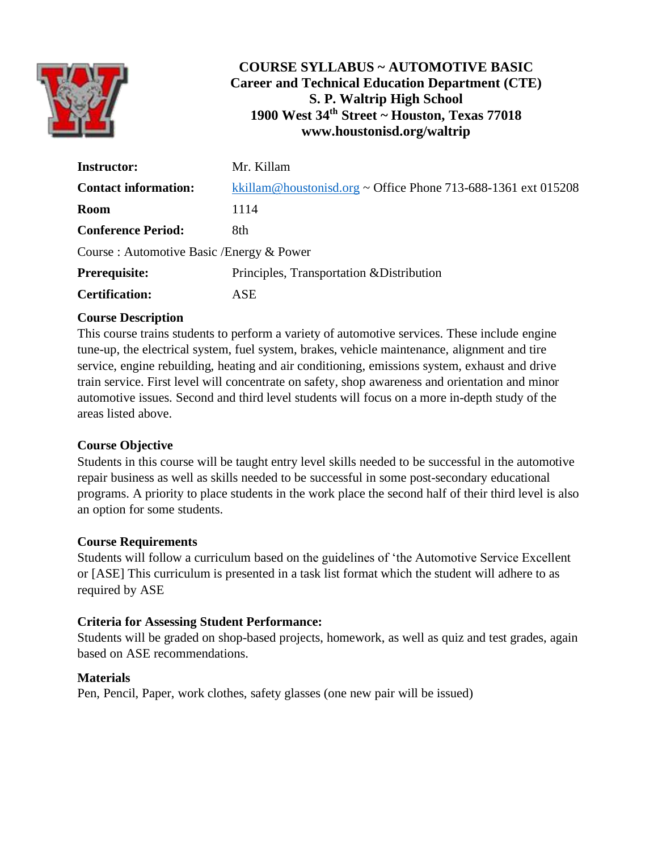

# **COURSE SYLLABUS ~ AUTOMOTIVE BASIC Career and Technical Education Department (CTE) S. P. Waltrip High School 1900 West 34th Street ~ Houston, Texas 77018 www.houstonisd.org/waltrip**

| <b>Instructor:</b>                        | Mr. Killam                                                    |
|-------------------------------------------|---------------------------------------------------------------|
| <b>Contact information:</b>               | kkillam@houstonisd.org ~ Office Phone 713-688-1361 ext 015208 |
| <b>Room</b>                               | 1114                                                          |
| <b>Conference Period:</b>                 | 8th                                                           |
| Course : Automotive Basic /Energy & Power |                                                               |
| <b>Prerequisite:</b>                      | Principles, Transportation & Distribution                     |
| <b>Certification:</b>                     | ASE                                                           |

# **Course Description**

This course trains students to perform a variety of automotive services. These include engine tune-up, the electrical system, fuel system, brakes, vehicle maintenance, alignment and tire service, engine rebuilding, heating and air conditioning, emissions system, exhaust and drive train service. First level will concentrate on safety, shop awareness and orientation and minor automotive issues. Second and third level students will focus on a more in-depth study of the areas listed above.

# **Course Objective**

Students in this course will be taught entry level skills needed to be successful in the automotive repair business as well as skills needed to be successful in some post-secondary educational programs. A priority to place students in the work place the second half of their third level is also an option for some students.

#### **Course Requirements**

Students will follow a curriculum based on the guidelines of 'the Automotive Service Excellent or [ASE] This curriculum is presented in a task list format which the student will adhere to as required by ASE

#### **Criteria for Assessing Student Performance:**

Students will be graded on shop-based projects, homework, as well as quiz and test grades, again based on ASE recommendations.

#### **Materials**

Pen, Pencil, Paper, work clothes, safety glasses (one new pair will be issued)